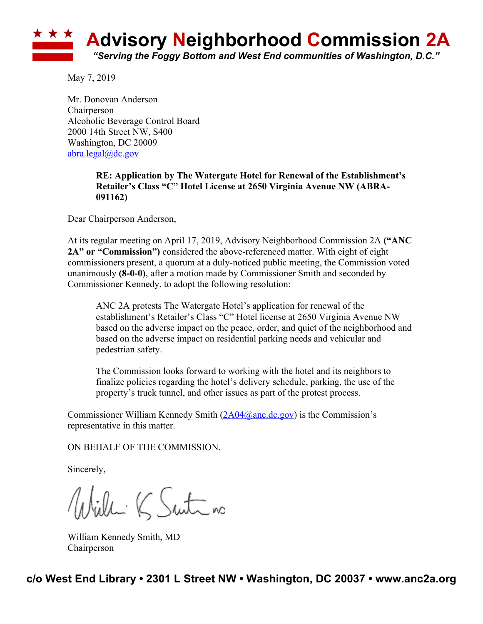

May 7, 2019

Mr. Donovan Anderson Chairperson Alcoholic Beverage Control Board 2000 14th Street NW, S400 Washington, DC 20009 abra.legal@dc.gov

## **RE: Application by The Watergate Hotel for Renewal of the Establishment's Retailer's Class "C" Hotel License at 2650 Virginia Avenue NW (ABRA-091162)**

Dear Chairperson Anderson,

At its regular meeting on April 17, 2019, Advisory Neighborhood Commission 2A **("ANC 2A" or "Commission")** considered the above-referenced matter. With eight of eight commissioners present, a quorum at a duly-noticed public meeting, the Commission voted unanimously **(8-0-0)**, after a motion made by Commissioner Smith and seconded by Commissioner Kennedy, to adopt the following resolution:

ANC 2A protests The Watergate Hotel's application for renewal of the establishment's Retailer's Class "C" Hotel license at 2650 Virginia Avenue NW based on the adverse impact on the peace, order, and quiet of the neighborhood and based on the adverse impact on residential parking needs and vehicular and pedestrian safety.

The Commission looks forward to working with the hotel and its neighbors to finalize policies regarding the hotel's delivery schedule, parking, the use of the property's truck tunnel, and other issues as part of the protest process.

Commissioner William Kennedy Smith  $(2A04@anc.de.gov)$  is the Commission's representative in this matter.

ON BEHALF OF THE COMMISSION.

Sincerely,

Wille K Suite no

William Kennedy Smith, MD Chairperson